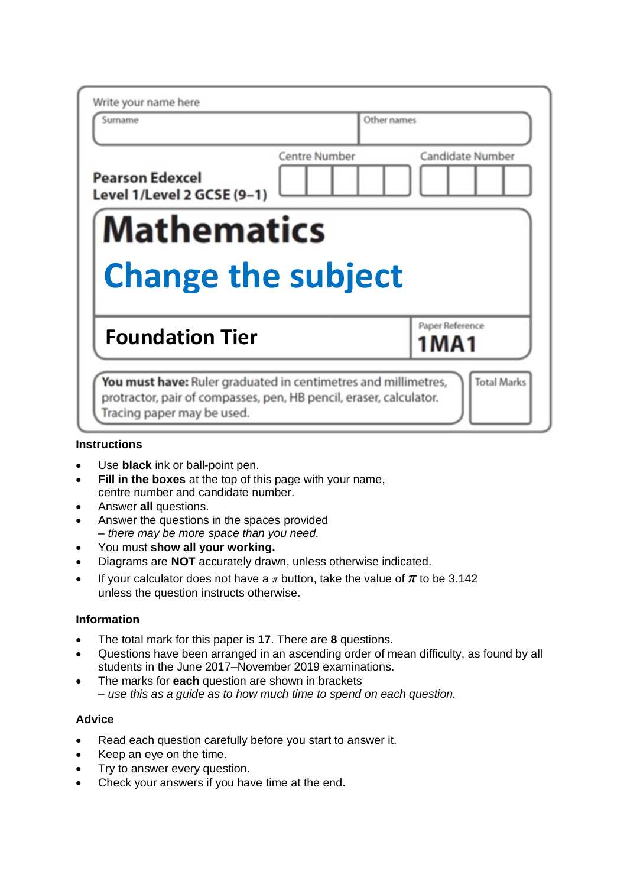| Write your name here                                 |                                          |
|------------------------------------------------------|------------------------------------------|
| Surname                                              | Other names                              |
| <b>Pearson Edexcel</b><br>Level 1/Level 2 GCSE (9-1) | <b>Centre Number</b><br>Candidate Number |
|                                                      |                                          |
| <b>Mathematics</b><br><b>Change the subject</b>      |                                          |
|                                                      |                                          |
| <b>Foundation Tier</b>                               | Paper Reference<br>1 M A 1               |

## **Instructions**

- Use **black** ink or ball-point pen.
- **Fill in the boxes** at the top of this page with your name, centre number and candidate number.
- Answer **all** questions.
- Answer the questions in the spaces provided *– there may be more space than you need.*
- You must **show all your working.**
- Diagrams are **NOT** accurately drawn, unless otherwise indicated.
- If your calculator does not have a  $\pi$  button, take the value of  $\pi$  to be 3.142 unless the question instructs otherwise.

## **Information**

- The total mark for this paper is **17**. There are **8** questions.
- Questions have been arranged in an ascending order of mean difficulty, as found by all students in the June 2017–November 2019 examinations.
- The marks for **each** question are shown in brackets *– use this as a guide as to how much time to spend on each question.*

## **Advice**

- Read each question carefully before you start to answer it.
- Keep an eye on the time.
- Try to answer every question.
- Check your answers if you have time at the end.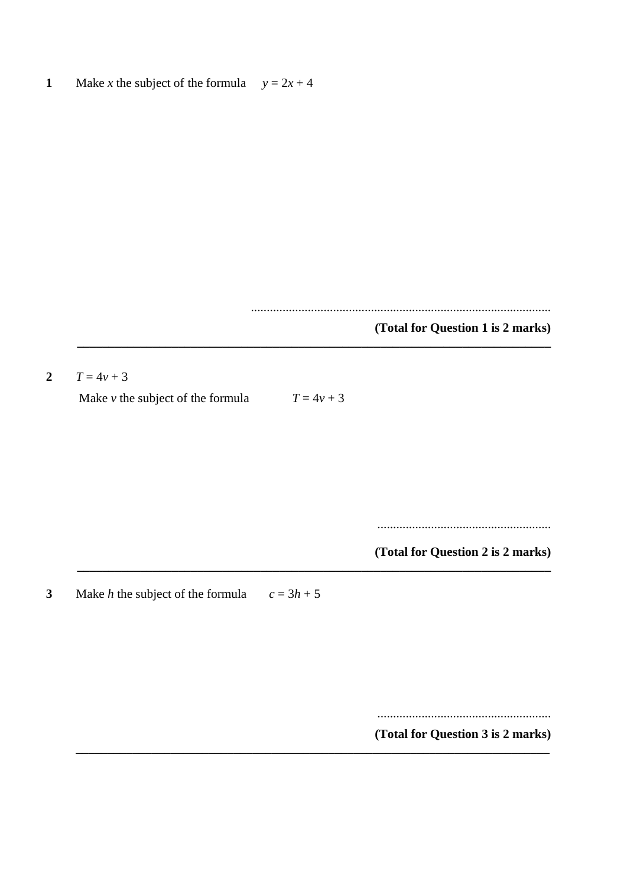$\mathbf{1}$ Make x the subject of the formula  $y = 2x + 4$ 

(Total for Question 1 is 2 marks)

 $\overline{2}$  $T = 4v + 3$ 

Make  $\nu$  the subject of the formula

 $T = 4v + 3$ 

(Total for Question 2 is 2 marks)

Make  $h$  the subject of the formula  $\overline{\mathbf{3}}$  $c = 3h + 5$ 

(Total for Question 3 is 2 marks)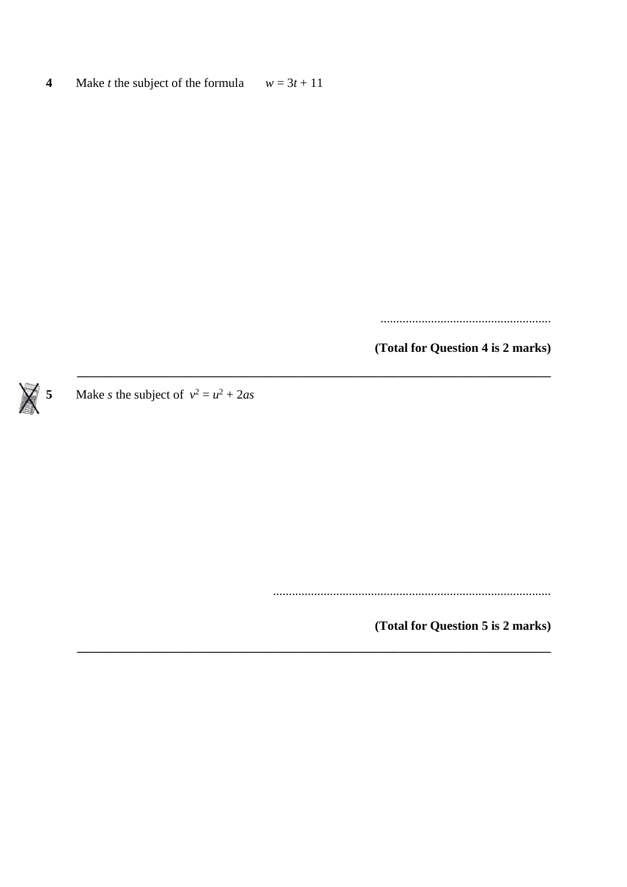Make *t* the subject of the formula  $w = 3t + 11$  $\overline{\mathbf{4}}$ 

(Total for Question 4 is 2 marks)

Make *s* the subject of  $v^2 = u^2 + 2as$  $\overline{\mathbf{5}}$ 

(Total for Question 5 is 2 marks)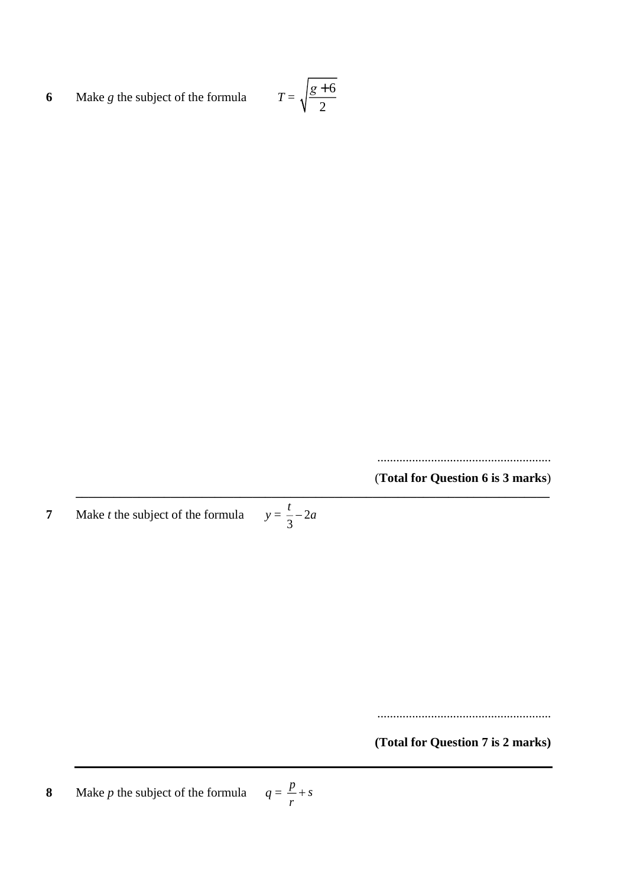**6** Make *g* the subject of the formula *g* <sup>+</sup> 6 2

> ....................................................... (**Total for Question 6 is 3 marks**)

**\_\_\_\_\_\_\_\_\_\_\_\_\_\_\_\_\_\_\_\_\_\_\_\_\_\_\_\_\_\_\_\_\_\_\_\_\_\_\_\_\_\_\_\_\_\_\_\_\_\_\_\_\_\_\_\_\_\_\_\_\_\_\_\_\_\_\_\_\_\_\_\_\_\_\_ 7** Make *t* the subject of the formula 2 *t*<sub>-−2*a*</sub>

3

.......................................................

**(Total for Question 7 is 2 marks)**

**8** Make *p* the subject of the formula  $\frac{p}{-}$  + *s r* +